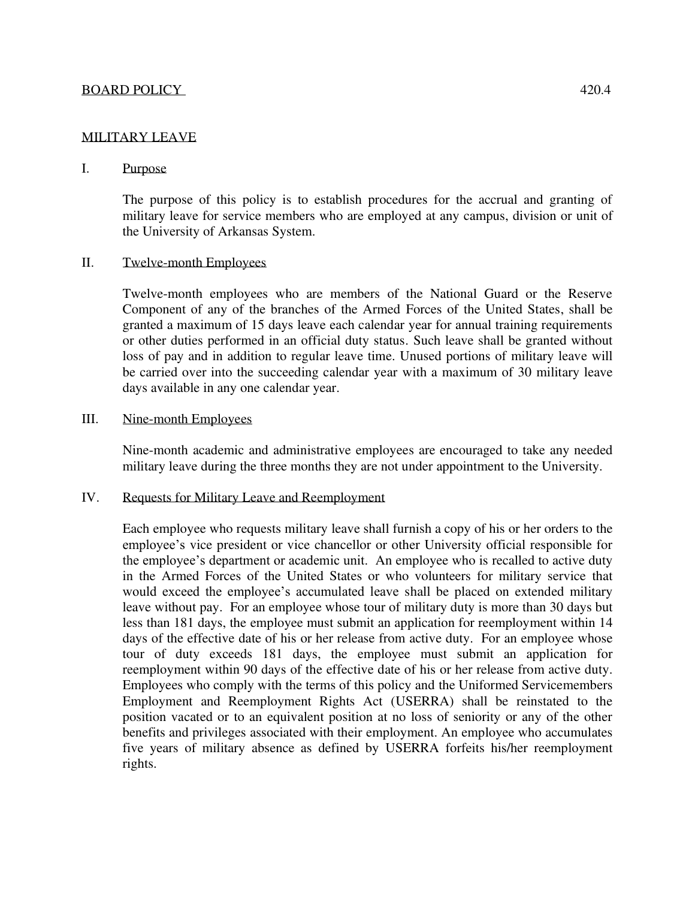### MILITARY LEAVE

### I. Purpose

The purpose of this policy is to establish procedures for the accrual and granting of military leave for service members who are employed at any campus, division or unit of the University of Arkansas System.

## II. Twelve-month Employees

Twelve-month employees who are members of the National Guard or the Reserve Component of any of the branches of the Armed Forces of the United States, shall be granted a maximum of 15 days leave each calendar year for annual training requirements or other duties performed in an official duty status. Such leave shall be granted without loss of pay and in addition to regular leave time. Unused portions of military leave will be carried over into the succeeding calendar year with a maximum of 30 military leave days available in any one calendar year.

### III. Nine-month Employees

Nine-month academic and administrative employees are encouraged to take any needed military leave during the three months they are not under appointment to the University.

#### IV. Requests for Military Leave and Reemployment

Each employee who requests military leave shall furnish a copy of his or her orders to the employee's vice president or vice chancellor or other University official responsible for the employee's department or academic unit. An employee who is recalled to active duty in the Armed Forces of the United States or who volunteers for military service that would exceed the employee's accumulated leave shall be placed on extended military leave without pay. For an employee whose tour of military duty is more than 30 days but less than 181 days, the employee must submit an application for reemployment within 14 days of the effective date of his or her release from active duty. For an employee whose tour of duty exceeds 181 days, the employee must submit an application for reemployment within 90 days of the effective date of his or her release from active duty. Employees who comply with the terms of this policy and the Uniformed Servicemembers Employment and Reemployment Rights Act (USERRA) shall be reinstated to the position vacated or to an equivalent position at no loss of seniority or any of the other benefits and privileges associated with their employment. An employee who accumulates five years of military absence as defined by USERRA forfeits his/her reemployment rights.